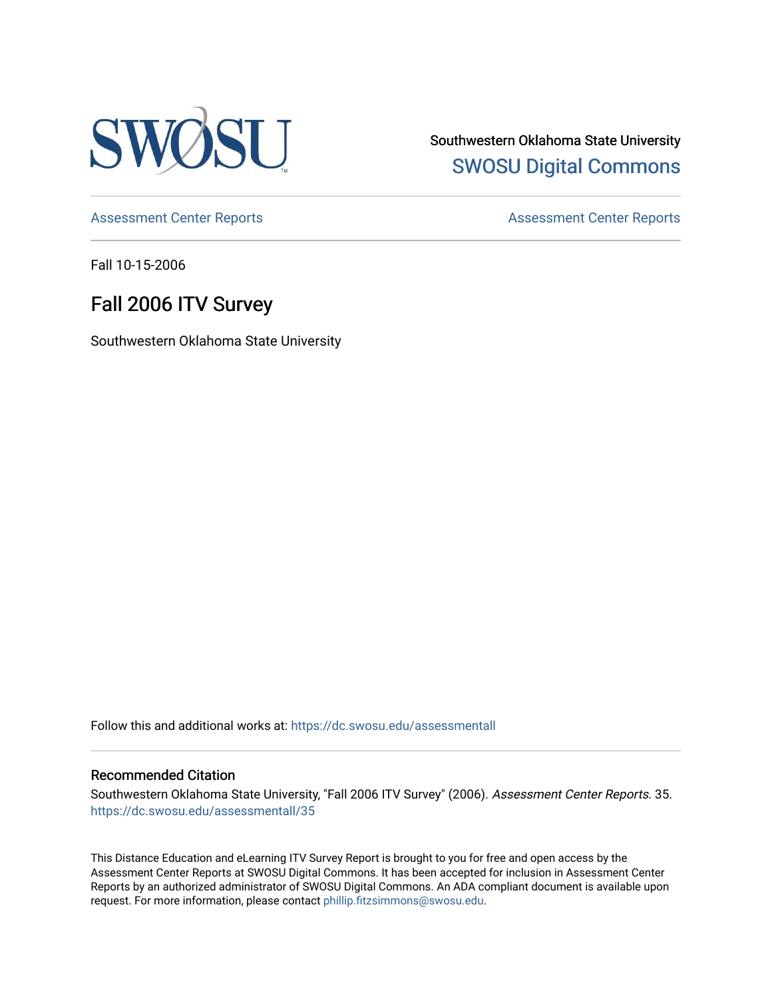

Southwestern Oklahoma State University [SWOSU Digital Commons](https://dc.swosu.edu/) 

[Assessment Center Reports](https://dc.swosu.edu/assessmenthm) **Assessment Center Reports** 

Fall 10-15-2006

# Fall 2006 ITV Survey

Southwestern Oklahoma State University

Follow this and additional works at: [https://dc.swosu.edu/assessmentall](https://dc.swosu.edu/assessmentall?utm_source=dc.swosu.edu%2Fassessmentall%2F35&utm_medium=PDF&utm_campaign=PDFCoverPages) 

### Recommended Citation

Southwestern Oklahoma State University, "Fall 2006 ITV Survey" (2006). Assessment Center Reports. 35. [https://dc.swosu.edu/assessmentall/35](https://dc.swosu.edu/assessmentall/35?utm_source=dc.swosu.edu%2Fassessmentall%2F35&utm_medium=PDF&utm_campaign=PDFCoverPages) 

This Distance Education and eLearning ITV Survey Report is brought to you for free and open access by the Assessment Center Reports at SWOSU Digital Commons. It has been accepted for inclusion in Assessment Center Reports by an authorized administrator of SWOSU Digital Commons. An ADA compliant document is available upon request. For more information, please contact [phillip.fitzsimmons@swosu.edu.](mailto:phillip.fitzsimmons@swosu.edu)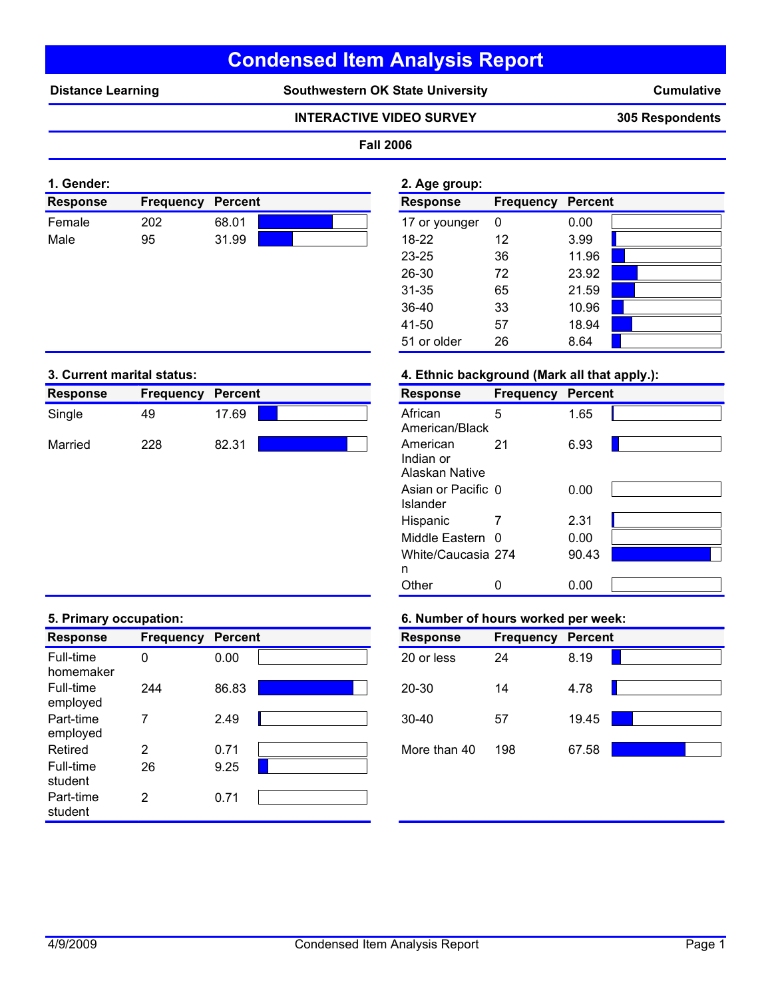# **Condensed Item Analysis Report**

Distance Learning **Southwestern OK State University** 

**Cumulative**

# **INTERACTIVE VIDEO SURVEY 305 Respondents**

# **Fall 2006**

| 1. Gender:      |                  |         | 2. Age group: |               |                          |      |
|-----------------|------------------|---------|---------------|---------------|--------------------------|------|
| <b>Response</b> | <b>Frequency</b> | Percent |               | Response      | <b>Frequency Percent</b> |      |
| Female          | 202              | 68.01   |               | 17 or younger |                          | 0.00 |
| Male            | 95               | 31.99   |               | 18-22         | 12                       | 3.99 |

| z. Aye yroup.   |                  |                |  |
|-----------------|------------------|----------------|--|
| <b>Response</b> | <b>Frequency</b> | <b>Percent</b> |  |
| 17 or younger   | 0                | 0.00           |  |
| 18-22           | 12               | 3.99           |  |
| $23 - 25$       | 36               | 11.96          |  |
| 26-30           | 72               | 23.92          |  |
| 31-35           | 65               | 21.59          |  |
| 36-40           | 33               | 10.96          |  |
| 41-50           | 57               | 18.94          |  |
| 51 or older     | 26               | 8.64           |  |

| <b>Response</b> | <b>Frequency</b> | Percent |  | <b>Response</b>                  | Frequency | <b>Percent</b> |
|-----------------|------------------|---------|--|----------------------------------|-----------|----------------|
| Single          | 49               | 17.69   |  | African<br>American/Black        |           | 1.65           |
| Married         | 228              | 82.31   |  | American<br>the officers and the |           | 6.93           |

# **3. Current marital status: 4. Ethnic background (Mark all that apply.):**

| <b>Response</b>             | <b>Frequency</b> | <b>Percent</b> |  |
|-----------------------------|------------------|----------------|--|
| African<br>American/Black   | 5                | 1.65           |  |
|                             |                  |                |  |
| American                    | 21               | 6.93           |  |
| Indian or<br>Alaskan Native |                  |                |  |
| Asian or Pacific 0          |                  | 0.00           |  |
| Islander                    |                  |                |  |
| Hispanic                    |                  | 2.31           |  |
| Middle Eastern 0            |                  | 0.00           |  |
| White/Caucasia 274          |                  | 90.43          |  |
| n                           |                  |                |  |
| Other                       |                  | 0.00           |  |

| <b>Response</b>        | <b>Frequency</b> | <b>Percent</b> | <b>Response</b> | <b>Frequency</b> | <b>Percent</b> |
|------------------------|------------------|----------------|-----------------|------------------|----------------|
| Full-time<br>homemaker | 0                | 0.00           | 20 or less      | 24               | 8.19           |
| Full-time<br>employed  | 244              | 86.83          | $20 - 30$       | 14               | 4.78           |
| Part-time<br>employed  |                  | 2.49           | $30 - 40$       | 57               | 19.45          |
| Retired                | 2                | 0.71           | More than 40    | 198              | 67.58          |
| Full-time<br>student   | 26               | 9.25           |                 |                  |                |
| Part-time<br>student   | 2                | 0.71           |                 |                  |                |

# **5. Primary occupation: 6. Number of hours worked per week:**

| <b>Response</b> | <b>Frequency</b> | <b>Percent</b> |  |
|-----------------|------------------|----------------|--|
| 20 or less      | 24               | 8.19           |  |
| 20-30           | 14               | 4.78           |  |
| $30 - 40$       | 57               | 19.45          |  |
| More than 40    | 198              | 67.58          |  |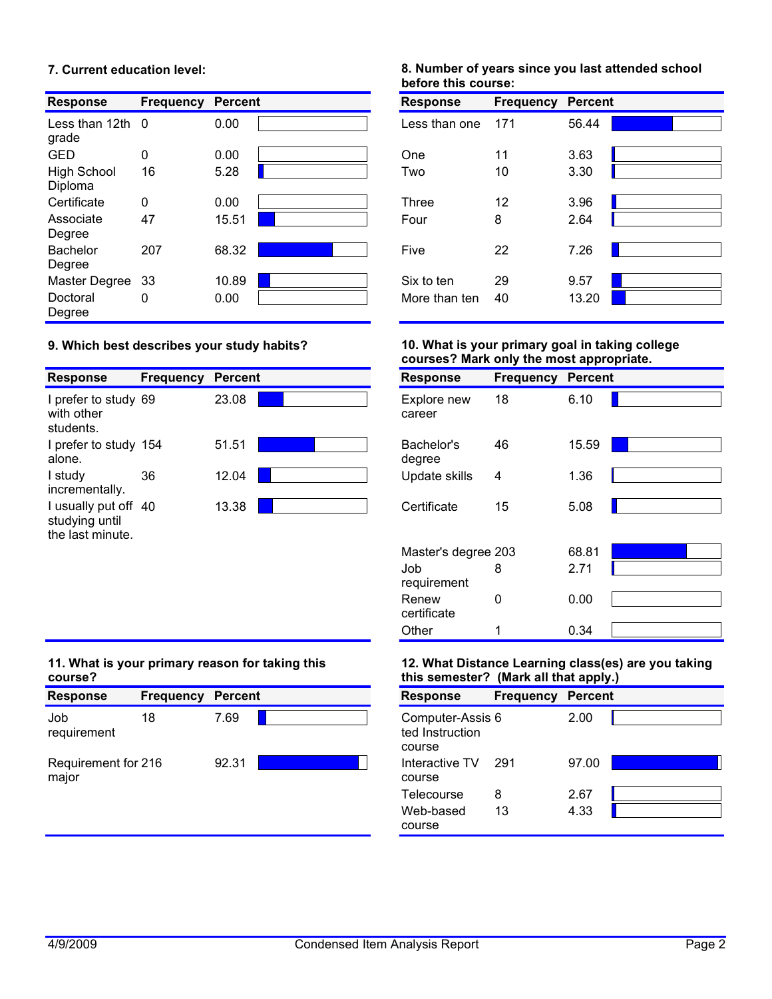# **7. Current education level:**

| <b>Response</b>               | <b>Frequency</b> | <b>Percent</b> | <b>Response</b> | <b>Frequency</b> | <b>Percent</b> |
|-------------------------------|------------------|----------------|-----------------|------------------|----------------|
| Less than $12$ th 0<br>grade  |                  | 0.00           | Less than one   | 171              | 56.44          |
| GED                           | 0                | 0.00           | <b>One</b>      | 11               | 3.63           |
| <b>High School</b><br>Diploma | 16               | 5.28           | Two             | 10               | 3.30           |
| Certificate                   | 0                | 0.00           | <b>Three</b>    | 12               | 3.96           |
| Associate<br>Degree           | 47               | 15.51          | Four            | 8                | 2.64           |
| <b>Bachelor</b><br>Degree     | 207              | 68.32          | Five            | 22               | 7.26           |
| Master Degree                 | -33              | 10.89          | Six to ten      | 29               | 9.57           |
| Doctoral<br>Degree            | 0                | 0.00           | More than ten   | 40               | 13.20          |

# **9. Which best describes your study habits?**

|                                                            |                  |                |                       |                  | . .            |
|------------------------------------------------------------|------------------|----------------|-----------------------|------------------|----------------|
| <b>Response</b>                                            | <b>Frequency</b> | <b>Percent</b> | <b>Response</b>       | <b>Frequency</b> | <b>Percent</b> |
| I prefer to study 69<br>with other<br>students.            |                  | 23.08          | Explore new<br>career | 18               | 6.10           |
| I prefer to study 154<br>alone.                            |                  | 51.51          | Bachelor's<br>degree  | 46               | 15.59          |
| I study<br>incrementally.                                  | 36               | 12.04          | Update skills         | 4                | 1.36           |
| I usually put off 40<br>studying until<br>the last minute. |                  | 13.38          | Certificate           | 15               | 5.08           |

# **8. Number of years since you last attended school before this course:**

| <b>Response</b> | <b>Frequency Percent</b> |       |  |
|-----------------|--------------------------|-------|--|
| Less than one   | 171                      | 56.44 |  |
| One             | 11                       | 3.63  |  |
| Two             | 10                       | 3.30  |  |
| <b>Three</b>    | 12                       | 3.96  |  |
| Four            | 8                        | 2.64  |  |
| Five            | 22                       | 7.26  |  |
| Six to ten      | 29                       | 9.57  |  |
| More than ten   | 40                       | 13.20 |  |

# **10. What is your primary goal in taking college courses? Mark only the most appropriate.**

| <b>Response</b>       | <b>Frequency</b> | <b>Percent</b> |  |
|-----------------------|------------------|----------------|--|
| Explore new<br>career | 18               | 6.10           |  |
| Bachelor's<br>degree  | 46               | 15.59          |  |
| Update skills         | 4                | 1.36           |  |
| Certificate           | 15               | 5.08           |  |
| Master's degree 203   |                  | 68.81          |  |
| Job<br>requirement    | 8                | 2.71           |  |
| Renew<br>certificate  | n                | 0.00           |  |
| Other                 |                  | 0.34           |  |

# **11. What is your primary reason for taking this course?**

| <b>Response</b>              | <b>Frequency</b> | Percent | <b>Response</b>                               | <b>Frequency</b> | <b>Percent</b> |
|------------------------------|------------------|---------|-----------------------------------------------|------------------|----------------|
| Job<br>requirement           | 18               | 7.69    | Computer-Assis 6<br>ted Instruction<br>course |                  | 2.00           |
| Requirement for 216<br>major |                  | 92.31   | Interactive TV<br>course                      | -291             | 97.00          |
|                              |                  |         | Tologouroo                                    | o                | റ മ7           |

# **12. What Distance Learning class(es) are you taking this semester? (Mark all that apply.)**

| <b>Response</b>                               | <b>Frequency</b> | <b>Percent</b> |  |
|-----------------------------------------------|------------------|----------------|--|
| Computer-Assis 6<br>ted Instruction<br>course |                  | 2.00           |  |
| Interactive TV<br>course                      | 291              | 97.00          |  |
| Telecourse                                    | 8                | 2.67           |  |
| Web-based<br>course                           | 13               | 4.33           |  |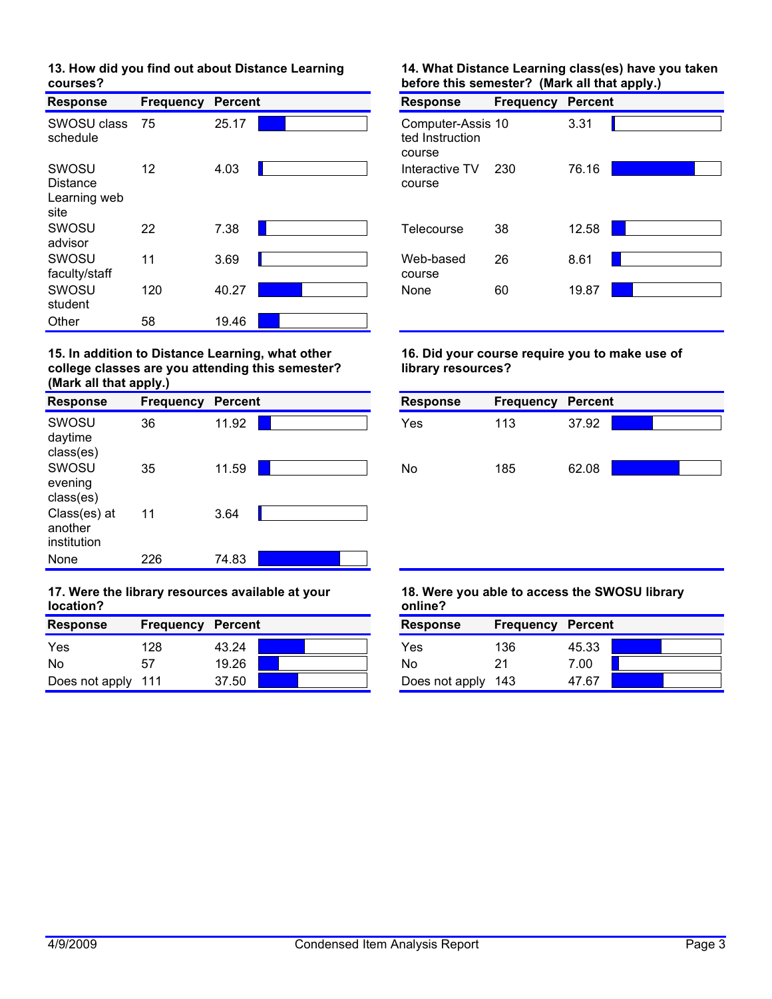# **13. How did you find out about Distance Learning courses?**

| <b>Response</b>                           | <b>Frequency</b> | <b>Percent</b> | <b>Response</b>                                | <b>Frequency</b> | <b>Percent</b> |  |
|-------------------------------------------|------------------|----------------|------------------------------------------------|------------------|----------------|--|
| SWOSU class<br>schedule                   | 75               | 25.17          | Computer-Assis 10<br>ted Instruction<br>course |                  | 3.31           |  |
| SWOSU<br>Distance<br>Learning web<br>site | 12               | 4.03           | Interactive TV<br>course                       | 230              | 76.16          |  |
| SWOSU<br>advisor                          | 22               | 7.38           | Telecourse                                     | 38               | 12.58          |  |
| SWOSU<br>faculty/staff                    | 11               | 3.69           | Web-based<br>course                            | 26               | 8.61           |  |
| SWOSU<br>student                          | 120              | 40.27          | None                                           | 60               | 19.87          |  |
| Other                                     | 58               | 19.46          |                                                |                  |                |  |

#### **15. In addition to Distance Learning, what other college classes are you attending this semester? (Mark all that apply.)**

| <b>Response</b>                        | <b>Frequency</b> | <b>Percent</b> | <b>Response</b> | <b>Frequency</b> | Perce |
|----------------------------------------|------------------|----------------|-----------------|------------------|-------|
| SWOSU<br>daytime<br>class(es)          | 36               | 11.92          | Yes             | 113              | 37.92 |
| SWOSU<br>evening<br>class(es)          | 35               | 11.59          | No              | 185              | 62.08 |
| Class(es) at<br>another<br>institution | 11               | 3.64           |                 |                  |       |
| None                                   | 226              | 74.83          |                 |                  |       |

# **17. Were the library resources available at your location?**

| <b>Response</b>    | <b>Frequency</b> | Percent |  | <b>Response</b>    | <b>Frequency Percent</b> |       |
|--------------------|------------------|---------|--|--------------------|--------------------------|-------|
| Yes                | 128              | 43.24   |  | Yes                | 136                      | 45.33 |
| N <sub>0</sub>     |                  | 19.26   |  | No                 | 21                       | 7.00  |
| Does not apply 111 |                  | 37.50   |  | Does not apply 143 |                          | 47.67 |

# **14. What Distance Learning class(es) have you taken before this semester? (Mark all that apply.)**

| <b>Response</b>                                | <b>Frequency</b> | <b>Percent</b> |  |
|------------------------------------------------|------------------|----------------|--|
| Computer-Assis 10<br>ted Instruction<br>course |                  | 3.31           |  |
| Interactive TV<br>course                       | 230              | 76.16          |  |
| Telecourse                                     | 38               | 12.58          |  |
| Web-based<br>course                            | 26               | 8.61           |  |
| <b>None</b>                                    | 60               | 19.87          |  |

# **16. Did your course require you to make use of library resources?**



# **18. Were you able to access the SWOSU library online?**

| <b>Response</b>    | <b>Frequency Percent</b> |       |  |
|--------------------|--------------------------|-------|--|
| Yes                | 136                      | 45.33 |  |
| No                 | 21                       | 7.00  |  |
| Does not apply 143 |                          | 47.67 |  |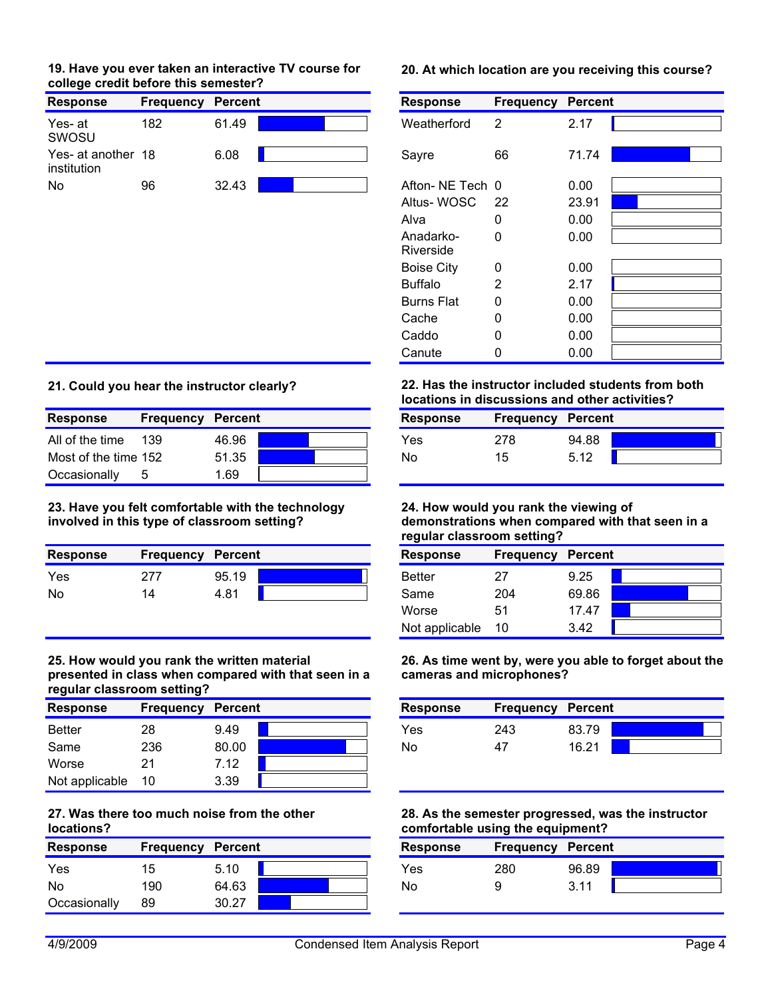### **19. Have you ever taken an interactive TV course for 20. At which location are you receiving this course? college credit before this semester?**

| <b>Response</b>                   | <b>Frequency</b> | <b>Percent</b> | <b>Response</b> | <b>Frequency</b> | <b>Percent</b> |
|-----------------------------------|------------------|----------------|-----------------|------------------|----------------|
| Yes- at<br>SWOSU                  | 182              | 61.49          | Weatherford     |                  | 2.17           |
| Yes- at another 18<br>institution |                  | 6.08           | Savre           | 66               | 71.74          |
| No                                | 96               | 32.43          | Afton-NE Tech 0 |                  | 0.00           |

| <b>Response</b>        | <b>Frequency Percent</b> |       |
|------------------------|--------------------------|-------|
| Weatherford            | 2                        | 2.17  |
| Sayre                  | 66                       | 71.74 |
| Afton-NE Tech 0        |                          | 0.00  |
| Altus-WOSC             | 22                       | 23.91 |
| Alva                   | 0                        | 0.00  |
| Anadarko-<br>Riverside | U                        | 0.00  |
| <b>Boise City</b>      | 0                        | 0.00  |
| <b>Buffalo</b>         | 2                        | 2.17  |
| <b>Burns Flat</b>      | 0                        | 0.00  |
| Cache                  | 0                        | 0.00  |
| Caddo                  | 0                        | 0.00  |
| Canute                 |                          | 0.00  |

# **21. Could you hear the instructor clearly?**

| <b>Response</b>      | Frequency | Percent |  | <b>Response</b> | <b>Frequency Percent</b> |       |
|----------------------|-----------|---------|--|-----------------|--------------------------|-------|
| All of the time      | 139       | 46.96   |  | Yes             | 278                      | 94.88 |
| Most of the time 152 |           | 51.35   |  | No              | 15                       | 5.12  |
| Occasionally         |           | 1.69    |  |                 |                          |       |

**23. Have you felt comfortable with the technology involved in this type of classroom setting?**

| <b>Response</b> | <b>Frequency Percent</b> |       | <b>Response</b> | <b>Frequency Percent</b> |       |
|-----------------|--------------------------|-------|-----------------|--------------------------|-------|
| <b>Yes</b>      | 277                      | 95.19 | Better          |                          | 9.25  |
| No              | 14                       | 4.81  | Same            | 204                      | 69.86 |

#### **25. How would you rank the written material presented in class when compared with that seen in a regular classroom setting?**

| <b>Response</b> | <b>Frequency</b> | <b>Percent</b> |  | <b>Response</b> | <b>Frequency</b> | <b>Percent</b> |
|-----------------|------------------|----------------|--|-----------------|------------------|----------------|
| <b>Better</b>   | 28               | 9.49           |  | Yes             | 243              | 83.79          |
| Same            | 236              | 80.00          |  | No              | 47               | 16.21          |
| Worse           |                  | 7.12           |  |                 |                  |                |
| Not applicable  | 10               | 3.39           |  |                 |                  |                |

### **27. Was there too much noise from the other locations?**

| <b>Response</b> | <b>Frequency</b> | Percent | <b>Response</b> | <b>Frequency Percent</b> |       |
|-----------------|------------------|---------|-----------------|--------------------------|-------|
| Yes             | 15               | 5.10    | Yes             | 280                      | 96.89 |
| <b>No</b>       | 190              | 64.63   | No              |                          | 3.11  |
| Occasionally    | 89               | 30.27   |                 |                          |       |

**22. Has the instructor included students from both locations in discussions and other activities?**

| 94.88<br>Yes<br>278 | <b>Response</b> | <b>Frequency Percent</b> |      |  |
|---------------------|-----------------|--------------------------|------|--|
|                     |                 |                          |      |  |
|                     | No              | 15                       | 5.12 |  |

#### **24. How would you rank the viewing of demonstrations when compared with that seen in a regular classroom setting?**

| <b>Response</b> | <b>Frequency Percent</b> |       |  |
|-----------------|--------------------------|-------|--|
| <b>Better</b>   | 27                       | 9.25  |  |
| Same            | 204                      | 69.86 |  |
| Worse           | 51                       | 17.47 |  |
| Not applicable  | 10                       | 3.42  |  |

**26. As time went by, were you able to forget about the cameras and microphones?**

| <b>Response</b> | <b>Frequency Percent</b> |       |  |
|-----------------|--------------------------|-------|--|
| Yes             | 243                      | 83.79 |  |
| No              | 47                       | 16.21 |  |

### **28. As the semester progressed, was the instructor comfortable using the equipment?**

| <b>Response</b> | <b>Frequency Percent</b> |       |  |
|-----------------|--------------------------|-------|--|
| Yes             | 280                      | 96.89 |  |
| No              |                          | 3.11  |  |